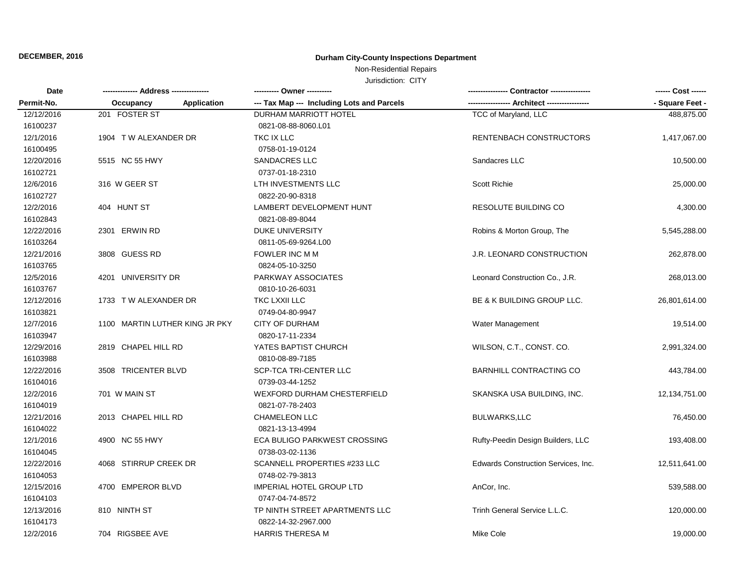# **DECEMBER, 2016 Durham City-County Inspections Department**

# Non-Residential Repairs

Jurisdiction: CITY

| Date<br>Permit-No. |                                | ---------- Owner ----------                |                                     | ------ Cost ------ |
|--------------------|--------------------------------|--------------------------------------------|-------------------------------------|--------------------|
|                    | Application<br>Occupancy       | --- Tax Map --- Including Lots and Parcels | ---- Architect --------             | - Square Feet -    |
| 12/12/2016         | 201 FOSTER ST                  | DURHAM MARRIOTT HOTEL                      | TCC of Maryland, LLC                | 488,875.00         |
| 16100237           |                                | 0821-08-88-8060.L01                        |                                     |                    |
| 12/1/2016          | 1904 T W ALEXANDER DR          | TKC IX LLC                                 | RENTENBACH CONSTRUCTORS             | 1,417,067.00       |
| 16100495           |                                | 0758-01-19-0124                            |                                     |                    |
| 12/20/2016         | 5515 NC 55 HWY                 | <b>SANDACRES LLC</b>                       | Sandacres LLC                       | 10,500.00          |
| 16102721           |                                | 0737-01-18-2310                            |                                     |                    |
| 12/6/2016          | 316 W GEER ST                  | LTH INVESTMENTS LLC                        | <b>Scott Richie</b>                 | 25,000.00          |
| 16102727           |                                | 0822-20-90-8318                            |                                     |                    |
| 12/2/2016          | 404 HUNT ST                    | LAMBERT DEVELOPMENT HUNT                   | RESOLUTE BUILDING CO                | 4,300.00           |
| 16102843           |                                | 0821-08-89-8044                            |                                     |                    |
| 12/22/2016         | 2301 ERWIN RD                  | <b>DUKE UNIVERSITY</b>                     | Robins & Morton Group, The          | 5,545,288.00       |
| 16103264           |                                | 0811-05-69-9264.L00                        |                                     |                    |
| 12/21/2016         | 3808 GUESS RD                  | FOWLER INC M M                             | <b>J.R. LEONARD CONSTRUCTION</b>    | 262,878.00         |
| 16103765           |                                | 0824-05-10-3250                            |                                     |                    |
| 12/5/2016          | 4201 UNIVERSITY DR             | PARKWAY ASSOCIATES                         | Leonard Construction Co., J.R.      | 268,013.00         |
| 16103767           |                                | 0810-10-26-6031                            |                                     |                    |
| 12/12/2016         | 1733 TW ALEXANDER DR           | TKC LXXII LLC                              | BE & K BUILDING GROUP LLC.          | 26,801,614.00      |
| 16103821           |                                | 0749-04-80-9947                            |                                     |                    |
| 12/7/2016          | 1100 MARTIN LUTHER KING JR PKY | <b>CITY OF DURHAM</b>                      | Water Management                    | 19,514.00          |
| 16103947           |                                | 0820-17-11-2334                            |                                     |                    |
| 12/29/2016         | 2819 CHAPEL HILL RD            | YATES BAPTIST CHURCH                       | WILSON, C.T., CONST. CO.            | 2,991,324.00       |
| 16103988           |                                | 0810-08-89-7185                            |                                     |                    |
| 12/22/2016         | 3508 TRICENTER BLVD            | SCP-TCA TRI-CENTER LLC                     | <b>BARNHILL CONTRACTING CO</b>      | 443,784.00         |
| 16104016           |                                | 0739-03-44-1252                            |                                     |                    |
| 12/2/2016          | 701 W MAIN ST                  | <b>WEXFORD DURHAM CHESTERFIELD</b>         | SKANSKA USA BUILDING, INC.          | 12,134,751.00      |
| 16104019           |                                | 0821-07-78-2403                            |                                     |                    |
| 12/21/2016         | 2013 CHAPEL HILL RD            | <b>CHAMELEON LLC</b>                       | <b>BULWARKS,LLC</b>                 | 76,450.00          |
| 16104022           |                                | 0821-13-13-4994                            |                                     |                    |
| 12/1/2016          | 4900 NC 55 HWY                 | ECA BULIGO PARKWEST CROSSING               | Rufty-Peedin Design Builders, LLC   | 193,408.00         |
| 16104045           |                                | 0738-03-02-1136                            |                                     |                    |
| 12/22/2016         | 4068 STIRRUP CREEK DR          | SCANNELL PROPERTIES #233 LLC               | Edwards Construction Services, Inc. | 12,511,641.00      |
| 16104053           |                                | 0748-02-79-3813                            |                                     |                    |
| 12/15/2016         | 4700 EMPEROR BLVD              | <b>IMPERIAL HOTEL GROUP LTD</b>            | AnCor, Inc.                         | 539,588.00         |
| 16104103           |                                | 0747-04-74-8572                            |                                     |                    |
| 12/13/2016         | 810 NINTH ST                   | TP NINTH STREET APARTMENTS LLC             | Trinh General Service L.L.C.        | 120,000.00         |
| 16104173           |                                | 0822-14-32-2967.000                        |                                     |                    |
| 12/2/2016          | 704 RIGSBEE AVE                | <b>HARRIS THERESA M</b>                    | Mike Cole                           | 19,000.00          |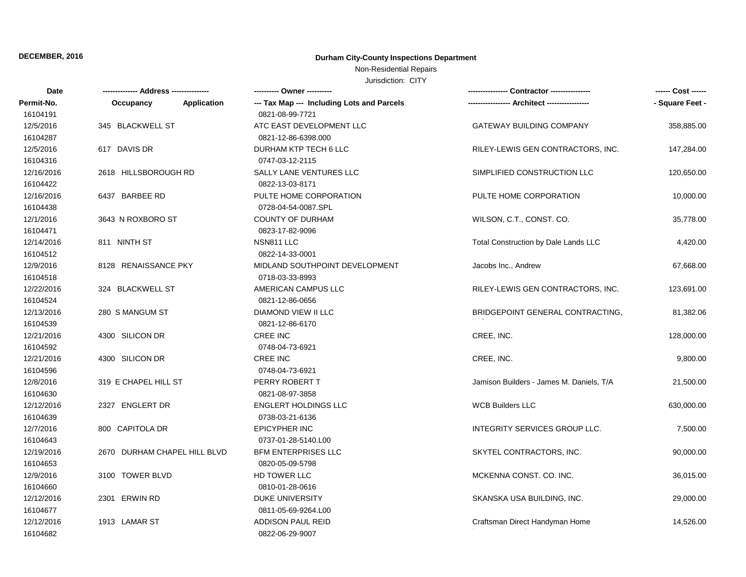# **DECEMBER, 2016 Durham City-County Inspections Department**

### Non-Residential Repairs

Jurisdiction: CITY

| Date       | --- Address ---------------  | ---------- Owner ----------                | -- Contractor ----------------           |                 |
|------------|------------------------------|--------------------------------------------|------------------------------------------|-----------------|
| Permit-No. | Application<br>Occupancy     | --- Tax Map --- Including Lots and Parcels |                                          | - Square Feet - |
| 16104191   |                              | 0821-08-99-7721                            |                                          |                 |
| 12/5/2016  | 345 BLACKWELL ST             | ATC EAST DEVELOPMENT LLC                   | <b>GATEWAY BUILDING COMPANY</b>          | 358,885.00      |
| 16104287   |                              | 0821-12-86-6398.000                        |                                          |                 |
| 12/5/2016  | 617 DAVIS DR                 | DURHAM KTP TECH 6 LLC                      | RILEY-LEWIS GEN CONTRACTORS, INC.        | 147,284.00      |
| 16104316   |                              | 0747-03-12-2115                            |                                          |                 |
| 12/16/2016 | 2618 HILLSBOROUGH RD         | SALLY LANE VENTURES LLC                    | SIMPLIFIED CONSTRUCTION LLC              | 120,650.00      |
| 16104422   |                              | 0822-13-03-8171                            |                                          |                 |
| 12/16/2016 | 6437 BARBEE RD               | PULTE HOME CORPORATION                     | PULTE HOME CORPORATION                   | 10,000.00       |
| 16104438   |                              | 0728-04-54-0087.SPL                        |                                          |                 |
| 12/1/2016  | 3643 N ROXBORO ST            | <b>COUNTY OF DURHAM</b>                    | WILSON, C.T., CONST. CO.                 | 35,778.00       |
| 16104471   |                              | 0823-17-82-9096                            |                                          |                 |
| 12/14/2016 | 811 NINTH ST                 | NSN811 LLC                                 | Total Construction by Dale Lands LLC     | 4,420.00        |
| 16104512   |                              | 0822-14-33-0001                            |                                          |                 |
| 12/9/2016  | 8128 RENAISSANCE PKY         | MIDLAND SOUTHPOINT DEVELOPMENT             | Jacobs Inc., Andrew                      | 67,668.00       |
| 16104518   |                              | 0718-03-33-8993                            |                                          |                 |
| 12/22/2016 | 324 BLACKWELL ST             | AMERICAN CAMPUS LLC                        | RILEY-LEWIS GEN CONTRACTORS, INC.        | 123,691.00      |
| 16104524   |                              | 0821-12-86-0656                            |                                          |                 |
| 12/13/2016 | 280 S MANGUM ST              | DIAMOND VIEW II LLC                        | BRIDGEPOINT GENERAL CONTRACTING,         | 81,382.06       |
| 16104539   |                              | 0821-12-86-6170                            |                                          |                 |
| 12/21/2016 | 4300 SILICON DR              | <b>CREE INC</b>                            | CREE, INC.                               | 128,000.00      |
| 16104592   |                              | 0748-04-73-6921                            |                                          |                 |
| 12/21/2016 | 4300 SILICON DR              | CREE INC                                   | CREE, INC.                               | 9,800.00        |
| 16104596   |                              | 0748-04-73-6921                            |                                          |                 |
| 12/8/2016  | 319 E CHAPEL HILL ST         | PERRY ROBERT T                             | Jamison Builders - James M. Daniels, T/A | 21,500.00       |
| 16104630   |                              | 0821-08-97-3858                            |                                          |                 |
| 12/12/2016 | 2327 ENGLERT DR              | <b>ENGLERT HOLDINGS LLC</b>                | <b>WCB Builders LLC</b>                  | 630,000.00      |
| 16104639   |                              | 0738-03-21-6136                            |                                          |                 |
| 12/7/2016  | 800 CAPITOLA DR              | <b>EPICYPHER INC</b>                       | INTEGRITY SERVICES GROUP LLC.            | 7,500.00        |
| 16104643   |                              | 0737-01-28-5140.L00                        |                                          |                 |
| 12/19/2016 | 2670 DURHAM CHAPEL HILL BLVD | <b>BFM ENTERPRISES LLC</b>                 | SKYTEL CONTRACTORS, INC.                 | 90,000.00       |
| 16104653   |                              | 0820-05-09-5798                            |                                          |                 |
| 12/9/2016  | 3100 TOWER BLVD              | HD TOWER LLC                               | MCKENNA CONST. CO. INC.                  | 36,015.00       |
| 16104660   |                              | 0810-01-28-0616                            |                                          |                 |
| 12/12/2016 | 2301 ERWIN RD                | <b>DUKE UNIVERSITY</b>                     | SKANSKA USA BUILDING, INC.               | 29,000.00       |
| 16104677   |                              | 0811-05-69-9264.L00                        |                                          |                 |
| 12/12/2016 | 1913 LAMAR ST                | <b>ADDISON PAUL REID</b>                   | Craftsman Direct Handyman Home           | 14,526.00       |
| 16104682   |                              | 0822-06-29-9007                            |                                          |                 |